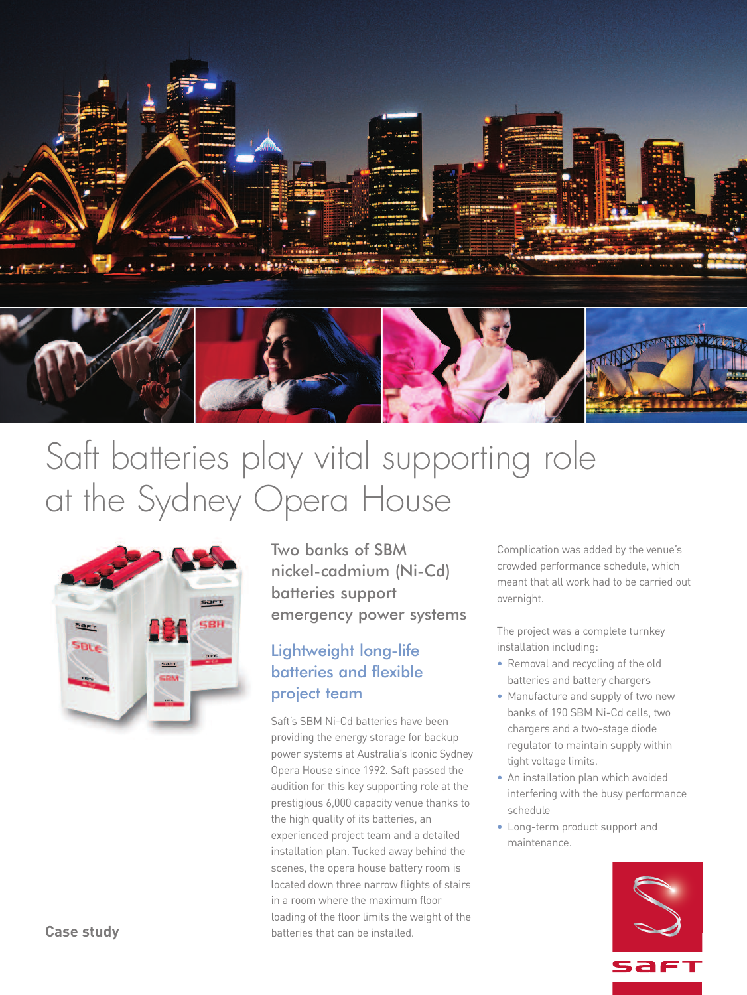

# Saft batteries play vital supporting role at the Sydney Opera House



Two banks of SBM nickel-cadmium (Ni-Cd) batteries support emergency power systems

### Lightweight long-life batteries and flexible project team

Saft's SBM Ni-Cd batteries have been providing the energy storage for backup power systems at Australia's iconic Sydney Opera House since 1992. Saft passed the audition for this key supporting role at the prestigious 6,000 capacity venue thanks to the high quality of its batteries, an experienced project team and a detailed installation plan. Tucked away behind the scenes, the opera house battery room is located down three narrow flights of stairs in a room where the maximum floor loading of the floor limits the weight of the batteries that can be installed.

Complication was added by the venue's crowded performance schedule, which meant that all work had to be carried out overnight.

The project was a complete turnkey installation including:

- Removal and recycling of the old batteries and battery chargers
- Manufacture and supply of two new banks of 190 SBM Ni-Cd cells, two chargers and a two-stage diode regulator to maintain supply within tight voltage limits.
- An installation plan which avoided interfering with the busy performance schedule
- Long-term product support and maintenance.